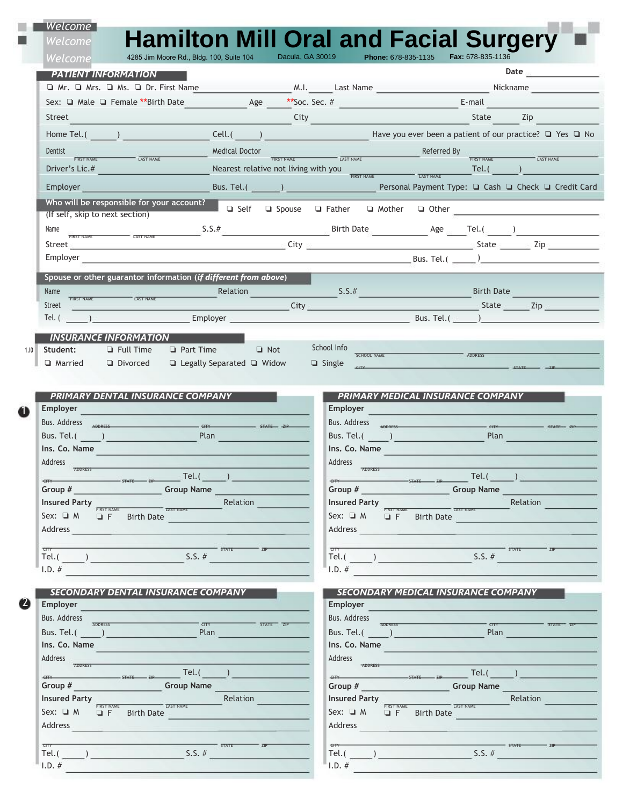| Welcome                                                                      |                                                                                                                                                                                                                                                                                                                                                   |                                                                                     |                                                                                                                                                                                                                                           |
|------------------------------------------------------------------------------|---------------------------------------------------------------------------------------------------------------------------------------------------------------------------------------------------------------------------------------------------------------------------------------------------------------------------------------------------|-------------------------------------------------------------------------------------|-------------------------------------------------------------------------------------------------------------------------------------------------------------------------------------------------------------------------------------------|
| Welcome                                                                      |                                                                                                                                                                                                                                                                                                                                                   |                                                                                     | <b>Hamilton Mill Oral and Facial Surgery</b>                                                                                                                                                                                              |
| <b>Welcome</b>                                                               | 4285 Jim Moore Rd., Bldg. 100, Suite 104                                                                                                                                                                                                                                                                                                          | Dacula, GA 30019<br>Phone: 678-835-1135                                             | Fax: 678-835-1136                                                                                                                                                                                                                         |
| <b>PATIENT INFORMATION</b>                                                   |                                                                                                                                                                                                                                                                                                                                                   |                                                                                     | Date $\qquad \qquad$                                                                                                                                                                                                                      |
|                                                                              |                                                                                                                                                                                                                                                                                                                                                   |                                                                                     | □ Mr. □ Mrs. □ Ms. □ Dr. First Name M.I. Last Name Nickname Nickname                                                                                                                                                                      |
|                                                                              | Sex: □ Male □ Female **Birth Date 4ge                                                                                                                                                                                                                                                                                                             | **Soc. Sec. #                                                                       | E-mail                                                                                                                                                                                                                                    |
| Street                                                                       |                                                                                                                                                                                                                                                                                                                                                   | City                                                                                | State Zip                                                                                                                                                                                                                                 |
| Home Tel.( )                                                                 |                                                                                                                                                                                                                                                                                                                                                   |                                                                                     | Cell. ( ) Have you ever been a patient of our practice? □ Yes □ No                                                                                                                                                                        |
| Dentist                                                                      | Medical Doctor                                                                                                                                                                                                                                                                                                                                    |                                                                                     | Referred By                                                                                                                                                                                                                               |
| LAST NAME                                                                    |                                                                                                                                                                                                                                                                                                                                                   | FIRST NAME LAST NAME                                                                | FIRST NAME LAST NAME                                                                                                                                                                                                                      |
|                                                                              |                                                                                                                                                                                                                                                                                                                                                   |                                                                                     |                                                                                                                                                                                                                                           |
| Employer <b>Employer</b>                                                     |                                                                                                                                                                                                                                                                                                                                                   |                                                                                     | Bus. Tel.(2000) 2000 Personal Payment Type: □ Cash □ Check □ Credit Card                                                                                                                                                                  |
| Who will be responsible for your account?<br>(If self, skip to next section) |                                                                                                                                                                                                                                                                                                                                                   |                                                                                     | Self $\Box$ Spouse $\Box$ Father $\Box$ Mother $\Box$ Other                                                                                                                                                                               |
| Name                                                                         |                                                                                                                                                                                                                                                                                                                                                   |                                                                                     | $\frac{1}{1000 \text{ NUSL}} \text{ Age } 5.5 \text{ Birth Date}$                                                                                                                                                                         |
|                                                                              |                                                                                                                                                                                                                                                                                                                                                   |                                                                                     | Street and the contract of the contract of the contract of the contract of the contract of the contract of the contract of the contract of the contract of the contract of the contract of the contract of the contract of the            |
|                                                                              |                                                                                                                                                                                                                                                                                                                                                   |                                                                                     | $Bus. Tel.$ (and a set of $Bus.$ Tel. (and a set of $Bus.$ Tel. (and a set of $Bus.$ Tel. (and a set of $Bus.$ Tel. (and a set of $Bus.$ Tel. (and a set of $Bus.$ Tel. (and a set of $Bus.$ Tel. (and a set of $Bus.$ Tel. (and a set of |
|                                                                              |                                                                                                                                                                                                                                                                                                                                                   |                                                                                     |                                                                                                                                                                                                                                           |
|                                                                              | Spouse or other guarantor information (if different from above)                                                                                                                                                                                                                                                                                   |                                                                                     |                                                                                                                                                                                                                                           |
| Name<br>LAST NAME                                                            | Relation                                                                                                                                                                                                                                                                                                                                          | S.S.#                                                                               | Birth Date<br>$\overline{\phantom{a}}$ State $\overline{\phantom{a}}$ Zip                                                                                                                                                                 |
| Street<br>$\mathsf{Tel.}$ ( $\qquad \qquad$ )                                |                                                                                                                                                                                                                                                                                                                                                   | <u><b>Example 2014</b></u> City <b>City City City City City City</b><br>Bus. Tel. ( |                                                                                                                                                                                                                                           |
|                                                                              | Employer                                                                                                                                                                                                                                                                                                                                          |                                                                                     |                                                                                                                                                                                                                                           |
| <b>INSURANCE INFORMATION</b>                                                 |                                                                                                                                                                                                                                                                                                                                                   |                                                                                     |                                                                                                                                                                                                                                           |
| Student:<br>$\Box$ Full Time                                                 | <b>Q</b> Part Time <b>Q</b> Not                                                                                                                                                                                                                                                                                                                   | School Info<br>SCHOOL NAME                                                          | ADDRFSS                                                                                                                                                                                                                                   |
| □ Married □ Divorced                                                         | □ Legally Separated □ Widow                                                                                                                                                                                                                                                                                                                       | $\Box$ Single                                                                       |                                                                                                                                                                                                                                           |
|                                                                              |                                                                                                                                                                                                                                                                                                                                                   |                                                                                     |                                                                                                                                                                                                                                           |
| <b>PRIMARY DENTAL INSURANCE COMPANY</b>                                      |                                                                                                                                                                                                                                                                                                                                                   |                                                                                     | <b>PRIMARY MEDICAL INSURANCE COMPANY</b>                                                                                                                                                                                                  |
| <b>Employer</b>                                                              |                                                                                                                                                                                                                                                                                                                                                   | Employer                                                                            |                                                                                                                                                                                                                                           |
|                                                                              | Bus. Address <sub>address</sub> and the state and the state and the state and the state and the state and the state and the                                                                                                                                                                                                                       |                                                                                     | Bus. Address Announce and Communication of the Case of the Case of the Case of the Case of the Case of the Case of the Case of the Case of the Case of the Case of the Case of the Case of the Case of the Case of the Case of            |
| Bus. Tel.( )                                                                 | Plan                                                                                                                                                                                                                                                                                                                                              | Bus. Tel.( <u>December 2008</u>                                                     | Plan                                                                                                                                                                                                                                      |
| Ins. Co. Name                                                                |                                                                                                                                                                                                                                                                                                                                                   | Ins. Co. Name                                                                       |                                                                                                                                                                                                                                           |
| Address                                                                      |                                                                                                                                                                                                                                                                                                                                                   | Address                                                                             |                                                                                                                                                                                                                                           |
|                                                                              | $\frac{1}{\text{STATE}}$ and $\frac{1}{\text{EIP}}$ and $\frac{1}{\text{EIP}}$ and $\frac{1}{\text{EIP}}$ and $\frac{1}{\text{EIP}}$ and $\frac{1}{\text{EIP}}$ and $\frac{1}{\text{EIP}}$ and $\frac{1}{\text{EIP}}$ and $\frac{1}{\text{EIP}}$ and $\frac{1}{\text{EIP}}$ and $\frac{1}{\text{EIP}}$ and $\frac{1}{\text{EIP}}$ and $\frac{1}{$ | CITY                                                                                | $\frac{1}{\text{STATE}}$ $\frac{1}{\text{ZIP}}$ Tel. ( $\frac{1}{\text{ZIP}}$ )                                                                                                                                                           |
| Group #                                                                      | <b>Example 19 Service Contract Contract Contract Contract Contract Contract Contract Contract Contract Contract Contract Contract Contract Contract Contract Contract Contract Contract Contract Contract Contract Contract Cont</b>                                                                                                              | Group #                                                                             | <b>Group Name</b>                                                                                                                                                                                                                         |
| <b>Insured Party</b>                                                         | Relation                                                                                                                                                                                                                                                                                                                                          | <b>Insured Party</b>                                                                | Relation                                                                                                                                                                                                                                  |
| $Sex: \square M \square F$<br>Birth Date                                     | LAST NAME                                                                                                                                                                                                                                                                                                                                         | Sex: $\Box$ M                                                                       | $\Box$ F Birth Date                                                                                                                                                                                                                       |
| <b>Address</b>                                                               |                                                                                                                                                                                                                                                                                                                                                   | Address                                                                             |                                                                                                                                                                                                                                           |

| ताप  | <b>STATE</b> | $CTT$ ,          | <b>STATE</b> |
|------|--------------|------------------|--------------|
| Tel. |              | $\sim$<br>$-0.1$ | $\cdots$     |

 $\blacksquare$ *SECONDARY MEDICAL INSURANCE COMPANY* **IDERET BUS. Address**<br> **IDERET BUS. Tel. (** Bus. Address Address Address<br>
Group # <sub>STATE</sub> Tel.( )<br> **Group # Group Name Group Name Group Name CAST NAME CAST NAME Relation** ADDRESS  $T_{\text{CUT}}$   $T_{\text{H}}$   $T_{\text{H}}$   $T_{\text{H}}$   $T_{\text{H}}$   $T_{\text{H}}$   $T_{\text{H}}$   $T_{\text{H}}$   $T_{\text{H}}$   $T_{\text{H}}$   $T_{\text{H}}$   $T_{\text{H}}$   $T_{\text{H}}$   $T_{\text{H}}$   $T_{\text{H}}$   $T_{\text{H}}$   $T_{\text{H}}$   $T_{\text{H}}$   $T_{\text{H}}$   $T_{\text{H}}$   $T_{\text{H}}$   $T_{\text{H}}$  CITY STATE ZIP Relation Sex: ❏ M FIRST NAME ❏ F LAST NAME Birth Date  $\frac{1}{\text{crit}}$  state  $\frac{1}{\text{ceil}}$  state  $\frac{1}{\text{ceil}}$  state  $\frac{1}{\text{ceil}}$  state  $\frac{1}{\text{ceil}}$  state  $\frac{1}{\text{ceil}}$  state  $\frac{1}{\text{ceil}}$  state  $\frac{1}{\text{ceil}}$  state  $\frac{1}{\text{ceil}}$  state  $\frac{1}{\text{ceil}}$  state  $\frac{1}{\text{ceil}}$  state  $\frac{1}{\text{ceil}}$  $I.D. #$ 

| Employer                                                                             | Employer                                                                                  |
|--------------------------------------------------------------------------------------|-------------------------------------------------------------------------------------------|
| Bus. Address<br><b>ADDRESS</b><br>STATE ZIP<br>CTY                                   | <b>Bus. Address</b><br><b>ADDRESS</b>                                                     |
| Bus. Tel.(<br>Plan                                                                   | STATE ZIP<br>CTTT<br>Bus. Tel.(<br>Plan                                                   |
| Ins. Co. Name                                                                        | Ins. Co. Name                                                                             |
| Address                                                                              | Address                                                                                   |
| <b>ADDRESS</b><br>Tel.(<br>CITY<br><b>STATE</b>                                      | <b>ADDRESS</b><br>Tel.(<br><b>CITY</b><br><b>STATE</b>                                    |
| <b>Group Name</b><br>Group #                                                         | <b>Group Name</b><br>Group #                                                              |
| <b>Insured Party</b><br>Relation                                                     | <b>Insured Party</b><br>Relation                                                          |
| <b>LAST NAME</b><br><b>FIRST NAME</b><br>Sex: $\Box$ M<br>$Q$ F<br><b>Birth Date</b> | <b>LAST NAME</b><br><b>FIRST NAM</b><br>$Sex: \square M$<br><b>Birth Date</b><br>$\Box$ F |
| Address                                                                              | Address                                                                                   |

 $I.D. #$ 

 $\Box$ ٠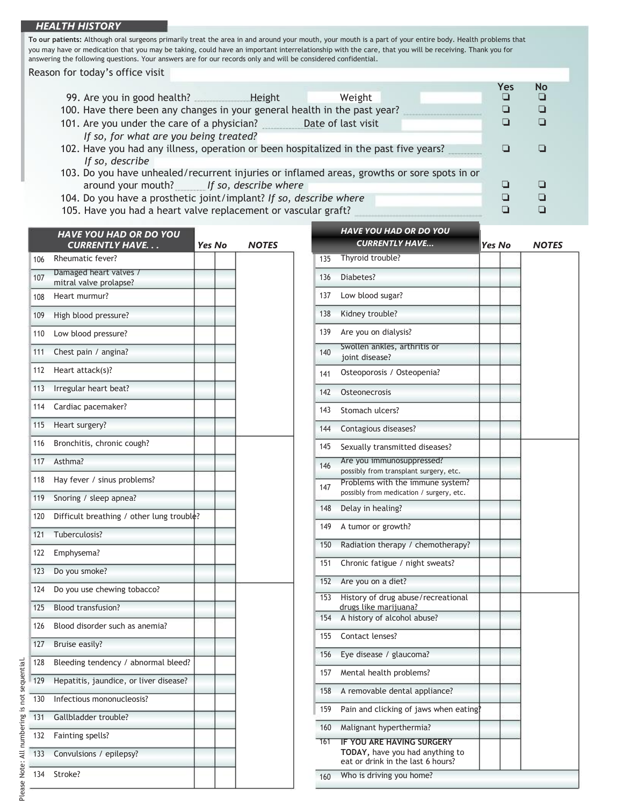## *HEALTH HISTORY*

**To our patients:** Although oral surgeons primarily treat the area in and around your mouth, your mouth is a part of your entire body. Health problems that you may have or medication that you may be taking, could have an important interrelationship with the care, that you will be receiving. Thank you for answering the following questions. Your answers are for our records only and will be considered confidential.

Reason for today's office visit

|                                                                                             | Yes | No |
|---------------------------------------------------------------------------------------------|-----|----|
| 99. Are you in good health?<br>Height<br>Weight                                             |     |    |
| 100. Have there been any changes in your general health in the past year?                   |     |    |
| 101. Are you under the care of a physician?<br>Date of last visit                           |     |    |
| If so, for what are you being treated?                                                      |     |    |
| 102. Have you had any illness, operation or been hospitalized in the past five years?       |     |    |
| If so, describe                                                                             |     |    |
| 103. Do you have unhealed/recurrent injuries or inflamed areas, growths or sore spots in or |     |    |
| around your mouth? If so, describe where                                                    |     |    |
| 104. Do you have a prosthetic joint/implant? If so, describe where                          |     |    |
| 105. Have you had a heart valve replacement or vascular graft?                              |     |    |

|     | <b>HAVE YOU HAD OR DO YOU</b>                    |               |              |     | <b>HAVE YOU HAD OK DO YOU</b><br><b>CURRENTLY HAVE</b>                                                   |
|-----|--------------------------------------------------|---------------|--------------|-----|----------------------------------------------------------------------------------------------------------|
|     | <b>CURRENTLY HAVE</b>                            | <b>Yes No</b> | <b>NOTES</b> |     |                                                                                                          |
| 106 | Rheumatic fever?                                 |               |              | 135 | Thyroid trouble?                                                                                         |
| 107 | Damaged heart valves /<br>mitral valve prolapse? |               |              | 136 | Diabetes?                                                                                                |
| 108 | Heart murmur?                                    |               |              | 137 | Low blood sugar?                                                                                         |
| 109 | High blood pressure?                             |               |              | 138 | Kidney trouble?                                                                                          |
| 110 | Low blood pressure?                              |               |              | 139 | Are you on dialysis?                                                                                     |
| 111 | Chest pain / angina?                             |               |              | 140 | Swollen ankles, arthritis or<br>joint disease?                                                           |
| 112 | Heart attack(s)?                                 |               |              | 141 | Osteoporosis / Osteopenia?                                                                               |
| 113 | Irregular heart beat?                            |               |              | 142 | Osteonecrosis                                                                                            |
| 114 | Cardiac pacemaker?                               |               |              | 143 | Stomach ulcers?                                                                                          |
| 115 | Heart surgery?                                   |               |              | 144 | Contagious diseases?                                                                                     |
| 116 | Bronchitis, chronic cough?                       |               |              | 145 | Sexually transmitted diseases?                                                                           |
| 117 | Asthma?                                          |               |              | 146 | Are you immunosuppressed?                                                                                |
| 118 | Hay fever / sinus problems?                      |               |              | 147 | possibly from transplant surgery, etc.<br>Problems with the immune system                                |
| 119 | Snoring / sleep apnea?                           |               |              |     | possibly from medication / surgery, etc.                                                                 |
| 120 | Difficult breathing / other lung trouble?        |               |              | 148 | Delay in healing?                                                                                        |
| 121 | Tuberculosis?                                    |               |              | 149 | A tumor or growth?                                                                                       |
| 122 | Emphysema?                                       |               |              | 150 | Radiation therapy / chemotherapy                                                                         |
| 123 | Do you smoke?                                    |               |              | 151 | Chronic fatigue / night sweats?                                                                          |
|     |                                                  |               |              | 152 | Are you on a diet?                                                                                       |
| 124 | Do you use chewing tobacco?                      |               |              | 153 | History of drug abuse/recreational                                                                       |
| 125 | <b>Blood transfusion?</b>                        |               |              | 154 | drugs like marijuana?<br>A history of alcohol abuse?                                                     |
| 126 | Blood disorder such as anemia?                   |               |              | 155 | Contact lenses?                                                                                          |
| 127 | Bruise easily?                                   |               |              | 156 | Eye disease / glaucoma?                                                                                  |
| 128 | Bleeding tendency / abnormal bleed?              |               |              |     |                                                                                                          |
| 129 | Hepatitis, jaundice, or liver disease?           |               |              | 157 | Mental health problems?                                                                                  |
| 130 | Infectious mononucleosis?                        |               |              | 158 | A removable dental appliance?                                                                            |
| 131 | Gallbladder trouble?                             |               |              | 159 | Pain and clicking of jaws when eat                                                                       |
| 132 | Fainting spells?                                 |               |              | 160 | Malignant hyperthermia?                                                                                  |
| 133 | Convulsions / epilepsy?                          |               |              | 161 | <b>IF YOU ARE HAVING SURGERY</b><br>TODAY, have you had anything to<br>eat or drink in the last 6 hours? |
| 134 | Stroke?                                          |               |              | 160 | Who is driving you home?                                                                                 |

|     | <b>HAVE YOU HAD OR DO YOU</b>                                                                            |        |       |
|-----|----------------------------------------------------------------------------------------------------------|--------|-------|
|     | <b>CURRENTLY HAVE</b>                                                                                    | Yes No | NOTES |
| 135 | Thyroid trouble?                                                                                         |        |       |
| 136 | Diabetes?                                                                                                |        |       |
| 137 | Low blood sugar?                                                                                         |        |       |
| 138 | Kidney trouble?                                                                                          |        |       |
| 139 | Are you on dialysis?                                                                                     |        |       |
| 140 | Swollen ankles, arthritis or<br>joint disease?                                                           |        |       |
| 141 | Osteoporosis / Osteopenia?                                                                               |        |       |
| 142 | Osteonecrosis                                                                                            |        |       |
| 143 | Stomach ulcers?                                                                                          |        |       |
| 144 | Contagious diseases?                                                                                     |        |       |
| 145 | Sexually transmitted diseases?                                                                           |        |       |
| 146 | Are you immunosuppressed?<br>possibly from transplant surgery, etc.                                      |        |       |
| 147 | Problems with the immune system?<br>possibly from medication / surgery, etc.                             |        |       |
| 148 | Delay in healing?                                                                                        |        |       |
| 149 | A tumor or growth?                                                                                       |        |       |
| 150 | Radiation therapy / chemotherapy?                                                                        |        |       |
| 151 | Chronic fatigue / night sweats?                                                                          |        |       |
| 152 | Are you on a diet?                                                                                       |        |       |
| 153 | History of drug abuse/recreational<br>drugs like marijuana?                                              |        |       |
| 154 | A history of alcohol abuse?                                                                              |        |       |
| 155 | Contact lenses?                                                                                          |        |       |
| 156 | Eye disease / glaucoma?                                                                                  |        |       |
| 157 | Mental health problems?                                                                                  |        |       |
| 158 | A removable dental appliance?                                                                            |        |       |
| 159 | Pain and clicking of jaws when eating?                                                                   |        |       |
| 160 | Malignant hyperthermia?                                                                                  |        |       |
| 161 | <u>IF YOU ARE HAVING SURGERY</u><br>TODAY, have you had anything to<br>eat or drink in the last 6 hours? |        |       |
| 160 | Who is driving you home?                                                                                 |        |       |
|     |                                                                                                          |        |       |